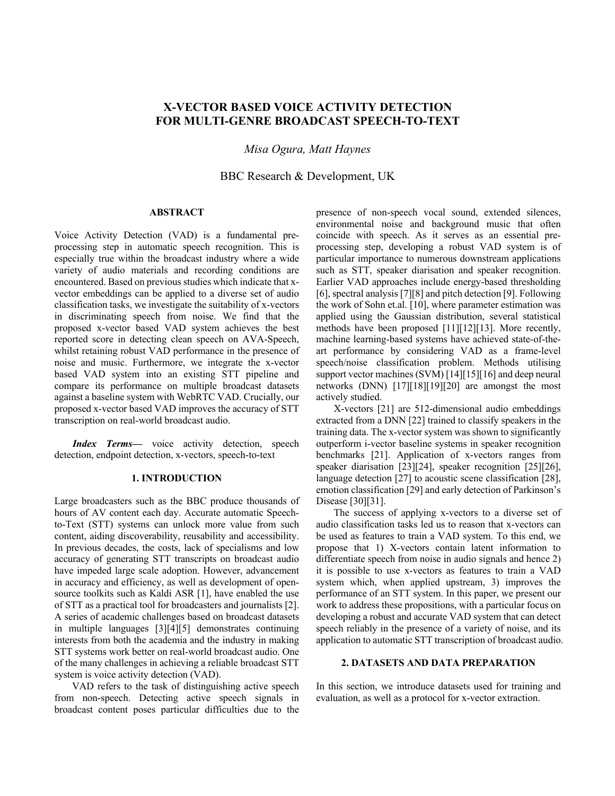# **X-VECTOR BASED VOICE ACTIVITY DETECTION FOR MULTI-GENRE BROADCAST SPEECH-TO-TEXT**

*Misa Ogura, Matt Haynes*

BBC Research & Development, UK

#### **ABSTRACT**

Voice Activity Detection (VAD) is a fundamental preprocessing step in automatic speech recognition. This is especially true within the broadcast industry where a wide variety of audio materials and recording conditions are encountered. Based on previous studies which indicate that xvector embeddings can be applied to a diverse set of audio classification tasks, we investigate the suitability of x-vectors in discriminating speech from noise. We find that the proposed x-vector based VAD system achieves the best reported score in detecting clean speech on AVA-Speech, whilst retaining robust VAD performance in the presence of noise and music. Furthermore, we integrate the x-vector based VAD system into an existing STT pipeline and compare its performance on multiple broadcast datasets against a baseline system with WebRTC VAD. Crucially, our proposed x-vector based VAD improves the accuracy of STT transcription on real-world broadcast audio.

*Index Terms*— voice activity detection, speech detection, endpoint detection, x-vectors, speech-to-text

### **1. INTRODUCTION**

Large broadcasters such as the BBC produce thousands of hours of AV content each day. Accurate automatic Speechto-Text (STT) systems can unlock more value from such content, aiding discoverability, reusability and accessibility. In previous decades, the costs, lack of specialisms and low accuracy of generating STT transcripts on broadcast audio have impeded large scale adoption. However, advancement in accuracy and efficiency, as well as development of opensource toolkits such as Kaldi ASR [1], have enabled the use of STT as a practical tool for broadcasters and journalists [2]. A series of academic challenges based on broadcast datasets in multiple languages [3][4][5] demonstrates continuing interests from both the academia and the industry in making STT systems work better on real-world broadcast audio. One of the many challenges in achieving a reliable broadcast STT system is voice activity detection (VAD).

VAD refers to the task of distinguishing active speech from non-speech. Detecting active speech signals in broadcast content poses particular difficulties due to the

presence of non-speech vocal sound, extended silences, environmental noise and background music that often coincide with speech. As it serves as an essential preprocessing step, developing a robust VAD system is of particular importance to numerous downstream applications such as STT, speaker diarisation and speaker recognition. Earlier VAD approaches include energy-based thresholding [6], spectral analysis [7][8] and pitch detection [9]. Following the work of Sohn et.al. [10], where parameter estimation was applied using the Gaussian distribution, several statistical methods have been proposed [11][12][13]. More recently, machine learning-based systems have achieved state-of-theart performance by considering VAD as a frame-level speech/noise classification problem. Methods utilising support vector machines (SVM) [14][15][16] and deep neural networks (DNN) [17][18][19][20] are amongst the most actively studied.

X-vectors [21] are 512-dimensional audio embeddings extracted from a DNN [22] trained to classify speakers in the training data. The x-vector system was shown to significantly outperform i-vector baseline systems in speaker recognition benchmarks [21]. Application of x-vectors ranges from speaker diarisation [23][24], speaker recognition [25][26], language detection [27] to acoustic scene classification [28], emotion classification [29] and early detection of Parkinson's Disease [30][31].

The success of applying x-vectors to a diverse set of audio classification tasks led us to reason that x-vectors can be used as features to train a VAD system. To this end, we propose that 1) X-vectors contain latent information to differentiate speech from noise in audio signals and hence 2) it is possible to use x-vectors as features to train a VAD system which, when applied upstream, 3) improves the performance of an STT system. In this paper, we present our work to address these propositions, with a particular focus on developing a robust and accurate VAD system that can detect speech reliably in the presence of a variety of noise, and its application to automatic STT transcription of broadcast audio.

# **2. DATASETS AND DATA PREPARATION**

In this section, we introduce datasets used for training and evaluation, as well as a protocol for x-vector extraction.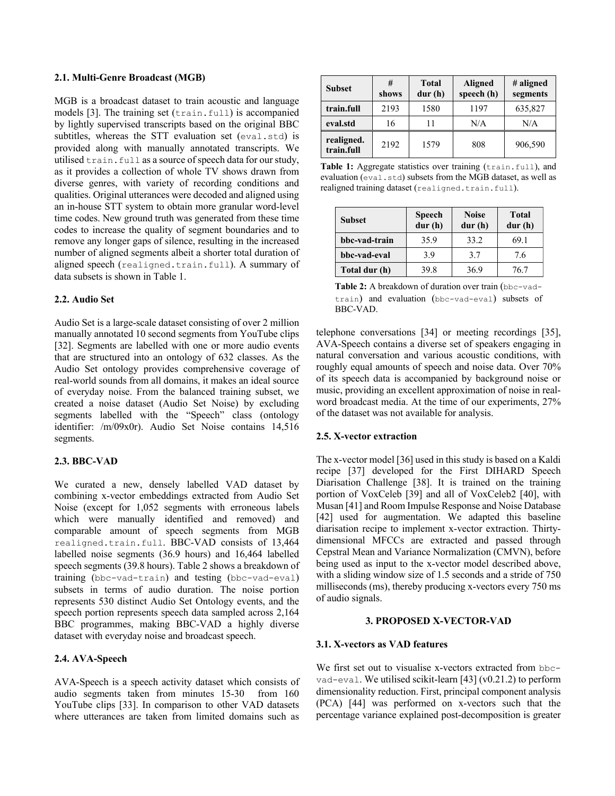### **2.1. Multi-Genre Broadcast (MGB)**

MGB is a broadcast dataset to train acoustic and language models [3]. The training set (train.full) is accompanied by lightly supervised transcripts based on the original BBC subtitles, whereas the STT evaluation set (eval.std) is provided along with manually annotated transcripts. We utilised train.full as a source of speech data for our study, as it provides a collection of whole TV shows drawn from diverse genres, with variety of recording conditions and qualities. Original utterances were decoded and aligned using an in-house STT system to obtain more granular word-level time codes. New ground truth was generated from these time codes to increase the quality of segment boundaries and to remove any longer gaps of silence, resulting in the increased number of aligned segments albeit a shorter total duration of aligned speech (realigned.train.full). A summary of data subsets is shown in Table 1.

### **2.2. Audio Set**

Audio Set is a large-scale dataset consisting of over 2 million manually annotated 10 second segments from YouTube clips [32]. Segments are labelled with one or more audio events that are structured into an ontology of 632 classes. As the Audio Set ontology provides comprehensive coverage of real-world sounds from all domains, it makes an ideal source of everyday noise. From the balanced training subset, we created a noise dataset (Audio Set Noise) by excluding segments labelled with the "Speech" class (ontology identifier: /m/09x0r). Audio Set Noise contains 14,516 segments.

#### **2.3. BBC-VAD**

We curated a new, densely labelled VAD dataset by combining x-vector embeddings extracted from Audio Set Noise (except for 1,052 segments with erroneous labels which were manually identified and removed) and comparable amount of speech segments from MGB realigned.train.full. BBC-VAD consists of 13,464 labelled noise segments (36.9 hours) and 16,464 labelled speech segments (39.8 hours). Table 2 shows a breakdown of training (bbc-vad-train) and testing (bbc-vad-eval) subsets in terms of audio duration. The noise portion represents 530 distinct Audio Set Ontology events, and the speech portion represents speech data sampled across 2,164 BBC programmes, making BBC-VAD a highly diverse dataset with everyday noise and broadcast speech.

# **2.4. AVA-Speech**

AVA-Speech is a speech activity dataset which consists of audio segments taken from minutes 15-30 from 160 YouTube clips [33]. In comparison to other VAD datasets where utterances are taken from limited domains such as

| <b>Subset</b>            | #<br>shows | <b>Total</b><br>dur(h) | <b>Aligned</b><br>speech (h) | # aligned<br>segments |  |
|--------------------------|------------|------------------------|------------------------------|-----------------------|--|
| train.full               | 2193       | 1580                   | 1197                         | 635,827               |  |
| eval.std                 | 16         |                        | N/A                          | N/A                   |  |
| realigned.<br>train.full | 2192       | 1579                   | 808                          | 906,590               |  |

Table 1: Aggregate statistics over training (train.full), and evaluation (eval.std) subsets from the MGB dataset, as well as realigned training dataset (realigned.train.full).

| <b>Subset</b> | <b>Speech</b><br>dur(h) | <b>Noise</b><br>dur(h) | <b>Total</b><br>dur(h) |  |
|---------------|-------------------------|------------------------|------------------------|--|
| bbc-vad-train | 35.9                    | 33.2                   | 69.1                   |  |
| bbc-vad-eval  | 3.9                     | 3.7                    | 7.6                    |  |
| Total dur (h) | 39.8                    | 36.9                   | 76.7                   |  |

Table 2: A breakdown of duration over train (bbc-vadtrain) and evaluation (bbc-vad-eval) subsets of BBC-VAD.

telephone conversations [34] or meeting recordings [35], AVA-Speech contains a diverse set of speakers engaging in natural conversation and various acoustic conditions, with roughly equal amounts of speech and noise data. Over 70% of its speech data is accompanied by background noise or music, providing an excellent approximation of noise in realword broadcast media. At the time of our experiments, 27% of the dataset was not available for analysis.

# **2.5. X-vector extraction**

The x-vector model [36] used in this study is based on a Kaldi recipe [37] developed for the First DIHARD Speech Diarisation Challenge [38]. It is trained on the training portion of VoxCeleb [39] and all of VoxCeleb2 [40], with Musan [41] and Room Impulse Response and Noise Database [42] used for augmentation. We adapted this baseline diarisation recipe to implement x-vector extraction. Thirtydimensional MFCCs are extracted and passed through Cepstral Mean and Variance Normalization (CMVN), before being used as input to the x-vector model described above, with a sliding window size of 1.5 seconds and a stride of 750 milliseconds (ms), thereby producing x-vectors every 750 ms of audio signals.

#### **3. PROPOSED X-VECTOR-VAD**

#### **3.1. X-vectors as VAD features**

We first set out to visualise x-vectors extracted from bbcvad-eval. We utilised scikit-learn [43] (v0.21.2) to perform dimensionality reduction. First, principal component analysis (PCA) [44] was performed on x-vectors such that the percentage variance explained post-decomposition is greater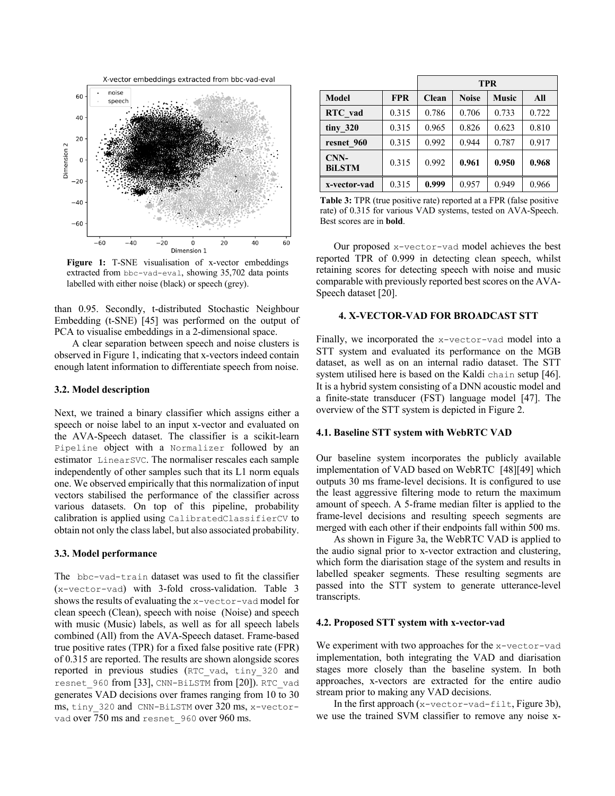

**Figure 1:** T-SNE visualisation of x-vector embeddings extracted from bbc-vad-eval, showing 35,702 data points labelled with either noise (black) or speech (grey).

than 0.95. Secondly, t-distributed Stochastic Neighbour Embedding (t-SNE) [45] was performed on the output of PCA to visualise embeddings in a 2-dimensional space.

A clear separation between speech and noise clusters is observed in Figure 1, indicating that x-vectors indeed contain enough latent information to differentiate speech from noise.

# **3.2. Model description**

Next, we trained a binary classifier which assigns either a speech or noise label to an input x-vector and evaluated on the AVA-Speech dataset. The classifier is a scikit-learn Pipeline object with a Normalizer followed by an estimator LinearSVC. The normaliser rescales each sample independently of other samples such that its L1 norm equals one. We observed empirically that this normalization of input vectors stabilised the performance of the classifier across various datasets. On top of this pipeline, probability calibration is applied using CalibratedClassifierCV to obtain not only the class label, but also associated probability.

### **3.3. Model performance**

The bbc-vad-train dataset was used to fit the classifier (x-vector-vad) with 3-fold cross-validation. Table 3 shows the results of evaluating the x-vector-vad model for clean speech (Clean), speech with noise (Noise) and speech with music (Music) labels, as well as for all speech labels combined (All) from the AVA-Speech dataset. Frame-based true positive rates (TPR) for a fixed false positive rate (FPR) of 0.315 are reported. The results are shown alongside scores reported in previous studies (RTC\_vad, tiny\_320 and resnet 960 from [33], CNN-BiLSTM from [20]). RTC vad generates VAD decisions over frames ranging from 10 to 30 ms, tiny 320 and CNN-BiLSTM over 320 ms, x-vectorvad over 750 ms and resnet 960 over 960 ms.

|                       |            | <b>TPR</b>   |              |              |       |
|-----------------------|------------|--------------|--------------|--------------|-------|
| Model                 | <b>FPR</b> | <b>Clean</b> | <b>Noise</b> | <b>Music</b> | All   |
| RTC vad               | 0.315      | 0.786        | 0.706        | 0.733        | 0.722 |
| tiny_320              | 0.315      | 0.965        | 0.826        | 0.623        | 0.810 |
| resnet 960            | 0.315      | 0.992        | 0.944        | 0.787        | 0.917 |
| CNN-<br><b>BiLSTM</b> | 0.315      | 0.992        | 0.961        | 0.950        | 0.968 |
| x-vector-vad          | 0.315      | 0.999        | 0.957        | 0.949        | 0.966 |

**Table 3:** TPR (true positive rate) reported at a FPR (false positive rate) of 0.315 for various VAD systems, tested on AVA-Speech. Best scores are in **bold**.

Our proposed x-vector-vad model achieves the best reported TPR of 0.999 in detecting clean speech, whilst retaining scores for detecting speech with noise and music comparable with previously reported best scores on the AVA-Speech dataset [20].

### **4. X-VECTOR-VAD FOR BROADCAST STT**

Finally, we incorporated the x-vector-vad model into a STT system and evaluated its performance on the MGB dataset, as well as on an internal radio dataset. The STT system utilised here is based on the Kaldi chain setup [46]. It is a hybrid system consisting of a DNN acoustic model and a finite-state transducer (FST) language model [47]. The overview of the STT system is depicted in Figure 2.

### **4.1. Baseline STT system with WebRTC VAD**

Our baseline system incorporates the publicly available implementation of VAD based on WebRTC [48][49] which outputs 30 ms frame-level decisions. It is configured to use the least aggressive filtering mode to return the maximum amount of speech. A 5-frame median filter is applied to the frame-level decisions and resulting speech segments are merged with each other if their endpoints fall within 500 ms.

As shown in Figure 3a, the WebRTC VAD is applied to the audio signal prior to x-vector extraction and clustering, which form the diarisation stage of the system and results in labelled speaker segments. These resulting segments are passed into the STT system to generate utterance-level transcripts.

### **4.2. Proposed STT system with x-vector-vad**

We experiment with two approaches for the x-vector-vad implementation, both integrating the VAD and diarisation stages more closely than the baseline system. In both approaches, x-vectors are extracted for the entire audio stream prior to making any VAD decisions.

In the first approach  $(x$ -vector-vad-filt, Figure 3b), we use the trained SVM classifier to remove any noise x-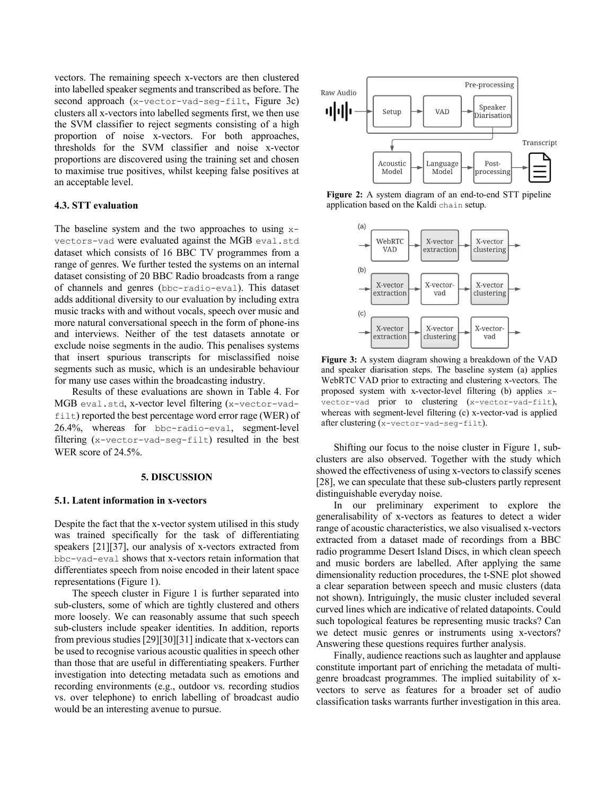vectors. The remaining speech x-vectors are then clustered into labelled speaker segments and transcribed as before. The second approach (x-vector-vad-seg-filt, Figure 3c) clusters all x-vectors into labelled segments first, we then use the SVM classifier to reject segments consisting of a high proportion of noise x-vectors. For both approaches, thresholds for the SVM classifier and noise x-vector proportions are discovered using the training set and chosen to maximise true positives, whilst keeping false positives at an acceptable level.

# **4.3. STT evaluation**

The baseline system and the two approaches to using  $x$ vectors-vad were evaluated against the MGB eval.std dataset which consists of 16 BBC TV programmes from a range of genres. We further tested the systems on an internal dataset consisting of 20 BBC Radio broadcasts from a range of channels and genres (bbc-radio-eval). This dataset adds additional diversity to our evaluation by including extra music tracks with and without vocals, speech over music and more natural conversational speech in the form of phone-ins and interviews. Neither of the test datasets annotate or exclude noise segments in the audio. This penalises systems that insert spurious transcripts for misclassified noise segments such as music, which is an undesirable behaviour for many use cases within the broadcasting industry.

Results of these evaluations are shown in Table 4. For MGB eval.std, x-vector level filtering (x-vector-vadfilt) reported the best percentage word error rage (WER) of 26.4%, whereas for bbc-radio-eval, segment-level filtering (x-vector-vad-seg-filt) resulted in the best WER score of 24.5%.

#### **5. DISCUSSION**

#### **5.1. Latent information in x-vectors**

Despite the fact that the x-vector system utilised in this study was trained specifically for the task of differentiating speakers [21][37], our analysis of x-vectors extracted from bbc-vad-eval shows that x-vectors retain information that differentiates speech from noise encoded in their latent space representations (Figure 1).

The speech cluster in Figure 1 is further separated into sub-clusters, some of which are tightly clustered and others more loosely. We can reasonably assume that such speech sub-clusters include speaker identities. In addition, reports from previous studies [29][30][31] indicate that x-vectors can be used to recognise various acoustic qualities in speech other than those that are useful in differentiating speakers. Further investigation into detecting metadata such as emotions and recording environments (e.g., outdoor vs. recording studios vs. over telephone) to enrich labelling of broadcast audio would be an interesting avenue to pursue.



**Figure 2:** A system diagram of an end-to-end STT pipeline application based on the Kaldi chain setup.



**Figure 3:** A system diagram showing a breakdown of the VAD and speaker diarisation steps. The baseline system (a) applies WebRTC VAD prior to extracting and clustering x-vectors. The proposed system with x-vector-level filtering (b) applies xvector-vad prior to clustering (x-vector-vad-filt), whereas with segment-level filtering (c) x-vector-vad is applied after clustering (x-vector-vad-seg-filt).

Shifting our focus to the noise cluster in Figure 1, subclusters are also observed. Together with the study which showed the effectiveness of using x-vectors to classify scenes [28], we can speculate that these sub-clusters partly represent distinguishable everyday noise.

In our preliminary experiment to explore the generalisability of x-vectors as features to detect a wider range of acoustic characteristics, we also visualised x-vectors extracted from a dataset made of recordings from a BBC radio programme Desert Island Discs, in which clean speech and music borders are labelled. After applying the same dimensionality reduction procedures, the t-SNE plot showed a clear separation between speech and music clusters (data not shown). Intriguingly, the music cluster included several curved lines which are indicative of related datapoints. Could such topological features be representing music tracks? Can we detect music genres or instruments using x-vectors? Answering these questions requires further analysis.

Finally, audience reactions such as laughter and applause constitute important part of enriching the metadata of multigenre broadcast programmes. The implied suitability of xvectors to serve as features for a broader set of audio classification tasks warrants further investigation in this area.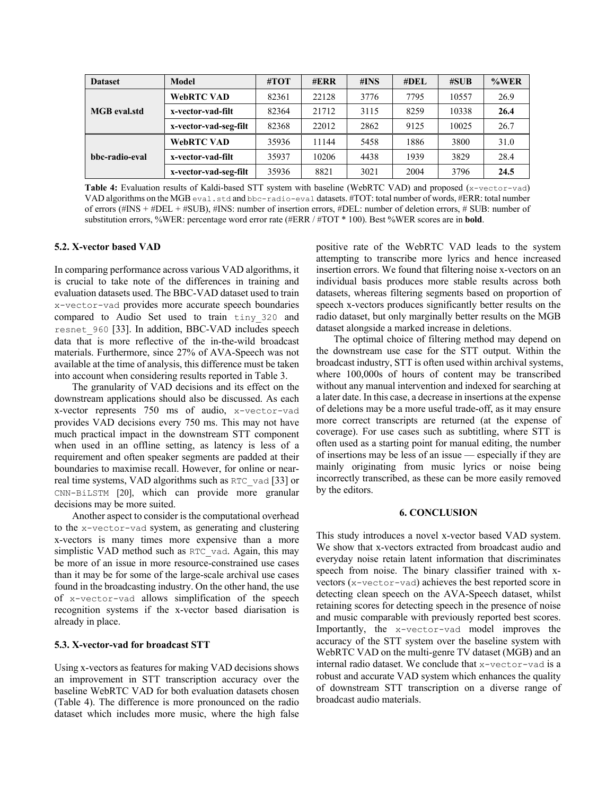| <b>Dataset</b>      | <b>Model</b>          | #TOT  | $\#ERR$ | # $INS$ | $\#$ DEL | $\# \text{SUB}$ | %WER |
|---------------------|-----------------------|-------|---------|---------|----------|-----------------|------|
| <b>MGB</b> eval.std | <b>WebRTC VAD</b>     | 82361 | 22128   | 3776    | 7795     | 10557           | 26.9 |
|                     | x-vector-vad-filt     | 82364 | 21712   | 3115    | 8259     | 10338           | 26.4 |
|                     | x-vector-vad-seg-filt | 82368 | 22012   | 2862    | 9125     | 10025           | 26.7 |
| bbc-radio-eval      | WebRTC VAD            | 35936 | 11144   | 5458    | 1886     | 3800            | 31.0 |
|                     | x-vector-vad-filt     | 35937 | 10206   | 4438    | 1939     | 3829            | 28.4 |
|                     | x-vector-vad-seg-filt | 35936 | 8821    | 3021    | 2004     | 3796            | 24.5 |

Table 4: Evaluation results of Kaldi-based STT system with baseline (WebRTC VAD) and proposed (x-vector-vad) VAD algorithms on the MGB eval.std and bbc-radio-eval datasets. #TOT: total number of words, #ERR: total number of errors (#INS + #DEL + #SUB), #INS: number of insertion errors, #DEL: number of deletion errors, # SUB: number of substitution errors, %WER: percentage word error rate (#ERR / #TOT \* 100). Best %WER scores are in **bold**.

### **5.2. X-vector based VAD**

In comparing performance across various VAD algorithms, it is crucial to take note of the differences in training and evaluation datasets used. The BBC-VAD dataset used to train x-vector-vad provides more accurate speech boundaries compared to Audio Set used to train tiny\_320 and resnet\_960 [33]. In addition, BBC-VAD includes speech data that is more reflective of the in-the-wild broadcast materials. Furthermore, since 27% of AVA-Speech was not available at the time of analysis, this difference must be taken into account when considering results reported in Table 3.

The granularity of VAD decisions and its effect on the downstream applications should also be discussed. As each x-vector represents 750 ms of audio, x-vector-vad provides VAD decisions every 750 ms. This may not have much practical impact in the downstream STT component when used in an offline setting, as latency is less of a requirement and often speaker segments are padded at their boundaries to maximise recall. However, for online or nearreal time systems, VAD algorithms such as RTC\_vad [33] or CNN-BiLSTM [20], which can provide more granular decisions may be more suited.

Another aspect to consider is the computational overhead to the x-vector-vad system, as generating and clustering x-vectors is many times more expensive than a more simplistic VAD method such as RTC vad. Again, this may be more of an issue in more resource-constrained use cases than it may be for some of the large-scale archival use cases found in the broadcasting industry. On the other hand, the use of x-vector-vad allows simplification of the speech recognition systems if the x-vector based diarisation is already in place.

### **5.3. X-vector-vad for broadcast STT**

Using x-vectors as features for making VAD decisions shows an improvement in STT transcription accuracy over the baseline WebRTC VAD for both evaluation datasets chosen (Table 4). The difference is more pronounced on the radio dataset which includes more music, where the high false

positive rate of the WebRTC VAD leads to the system attempting to transcribe more lyrics and hence increased insertion errors. We found that filtering noise x-vectors on an individual basis produces more stable results across both datasets, whereas filtering segments based on proportion of speech x-vectors produces significantly better results on the radio dataset, but only marginally better results on the MGB dataset alongside a marked increase in deletions.

The optimal choice of filtering method may depend on the downstream use case for the STT output. Within the broadcast industry, STT is often used within archival systems, where 100,000s of hours of content may be transcribed without any manual intervention and indexed for searching at a later date. In this case, a decrease in insertions at the expense of deletions may be a more useful trade-off, as it may ensure more correct transcripts are returned (at the expense of coverage). For use cases such as subtitling, where STT is often used as a starting point for manual editing, the number of insertions may be less of an issue — especially if they are mainly originating from music lyrics or noise being incorrectly transcribed, as these can be more easily removed by the editors.

# **6. CONCLUSION**

This study introduces a novel x-vector based VAD system. We show that x-vectors extracted from broadcast audio and everyday noise retain latent information that discriminates speech from noise. The binary classifier trained with xvectors (x-vector-vad) achieves the best reported score in detecting clean speech on the AVA-Speech dataset, whilst retaining scores for detecting speech in the presence of noise and music comparable with previously reported best scores. Importantly, the x-vector-vad model improves the accuracy of the STT system over the baseline system with WebRTC VAD on the multi-genre TV dataset (MGB) and an internal radio dataset. We conclude that x-vector-vad is a robust and accurate VAD system which enhances the quality of downstream STT transcription on a diverse range of broadcast audio materials.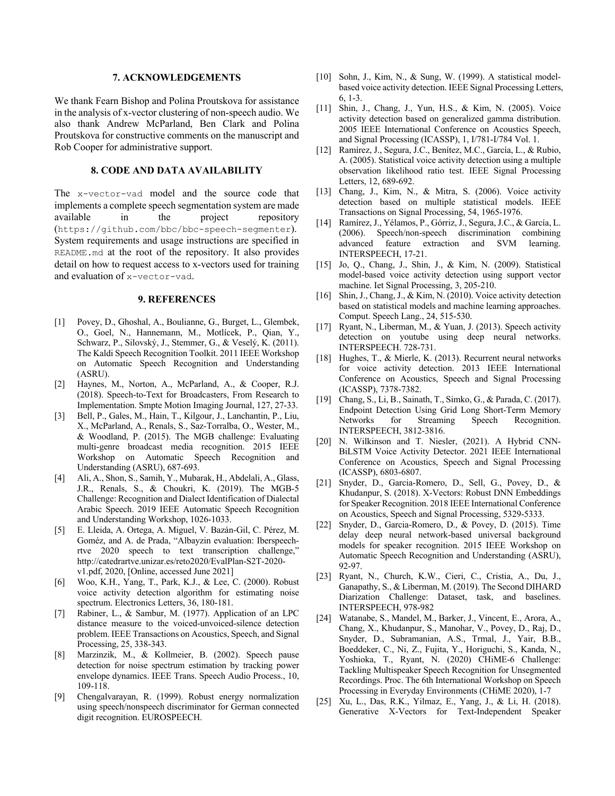### **7. ACKNOWLEDGEMENTS**

We thank Fearn Bishop and Polina Proutskova for assistance in the analysis of x-vector clustering of non-speech audio. We also thank Andrew McParland, Ben Clark and Polina Proutskova for constructive comments on the manuscript and Rob Cooper for administrative support.

### **8. CODE AND DATA AVAILABILITY**

The x-vector-vad model and the source code that implements a complete speech segmentation system are made available in the project repository (https://github.com/bbc/bbc-speech-segmenter). System requirements and usage instructions are specified in README.md at the root of the repository. It also provides detail on how to request access to x-vectors used for training and evaluation of x-vector-vad.

### **9. REFERENCES**

- [1] Povey, D., Ghoshal, A., Boulianne, G., Burget, L., Glembek, O., Goel, N., Hannemann, M., Motlícek, P., Qian, Y., Schwarz, P., Silovský, J., Stemmer, G., & Veselý, K. (2011). The Kaldi Speech Recognition Toolkit. 2011 IEEE Workshop on Automatic Speech Recognition and Understanding (ASRU).
- [2] Haynes, M., Norton, A., McParland, A., & Cooper, R.J. (2018). Speech-to-Text for Broadcasters, From Research to Implementation. Smpte Motion Imaging Journal, 127, 27-33.
- [3] Bell, P., Gales, M., Hain, T., Kilgour, J., Lanchantin, P., Liu, X., McParland, A., Renals, S., Saz-Torralba, O., Wester, M., & Woodland, P. (2015). The MGB challenge: Evaluating multi-genre broadcast media recognition. 2015 IEEE Workshop on Automatic Speech Recognition and Understanding (ASRU), 687-693.
- [4] Ali, A., Shon, S., Samih, Y., Mubarak, H., Abdelali, A., Glass, J.R., Renals, S., & Choukri, K. (2019). The MGB-5 Challenge: Recognition and Dialect Identification of Dialectal Arabic Speech. 2019 IEEE Automatic Speech Recognition and Understanding Workshop, 1026-1033.
- [5] E. Lleida, A. Ortega, A. Miguel, V. Bazán-Gil, C. Pérez, M. Goméz, and A. de Prada, "Albayzin evaluation: Iberspeechrtve 2020 speech to text transcription challenge," http://catedrartve.unizar.es/reto2020/EvalPlan-S2T-2020 v1.pdf, 2020, [Online, accessed June 2021]
- [6] Woo, K.H., Yang, T., Park, K.J., & Lee, C. (2000). Robust voice activity detection algorithm for estimating noise spectrum. Electronics Letters, 36, 180-181.
- [7] Rabiner, L., & Sambur, M. (1977). Application of an LPC distance measure to the voiced-unvoiced-silence detection problem. IEEE Transactions on Acoustics, Speech, and Signal Processing, 25, 338-343.
- [8] Marzinzik, M., & Kollmeier, B. (2002). Speech pause detection for noise spectrum estimation by tracking power envelope dynamics. IEEE Trans. Speech Audio Process., 10, 109-118.
- [9] Chengalvarayan, R. (1999). Robust energy normalization using speech/nonspeech discriminator for German connected digit recognition. EUROSPEECH.
- [10] Sohn, J., Kim, N., & Sung, W. (1999). A statistical modelbased voice activity detection. IEEE Signal Processing Letters, 6, 1-3.
- [11] Shin, J., Chang, J., Yun, H.S., & Kim, N. (2005). Voice activity detection based on generalized gamma distribution. 2005 IEEE International Conference on Acoustics Speech, and Signal Processing (ICASSP), 1, I/781-I/784 Vol. 1.
- [12] Ramírez, J., Segura, J.C., Benítez, M.C., García, L., & Rubio, A. (2005). Statistical voice activity detection using a multiple observation likelihood ratio test. IEEE Signal Processing Letters, 12, 689-692.
- [13] Chang, J., Kim, N., & Mitra, S. (2006). Voice activity detection based on multiple statistical models. IEEE Transactions on Signal Processing, 54, 1965-1976.
- [14] Ramírez, J., Yélamos, P., Górriz, J., Segura, J.C., & García, L. (2006). Speech/non-speech discrimination combining advanced feature extraction and SVM learning. INTERSPEECH, 17-21.
- [15] Jo, Q., Chang, J., Shin, J., & Kim, N. (2009). Statistical model-based voice activity detection using support vector machine. Iet Signal Processing, 3, 205-210.
- [16] Shin, J., Chang, J., & Kim, N. (2010). Voice activity detection based on statistical models and machine learning approaches. Comput. Speech Lang., 24, 515-530.
- [17] Ryant, N., Liberman, M., & Yuan, J. (2013). Speech activity detection on youtube using deep neural networks. INTERSPEECH. 728-731.
- [18] Hughes, T., & Mierle, K. (2013). Recurrent neural networks for voice activity detection. 2013 IEEE International Conference on Acoustics, Speech and Signal Processing (ICASSP), 7378-7382.
- [19] Chang, S., Li, B., Sainath, T., Simko, G., & Parada, C. (2017). Endpoint Detection Using Grid Long Short-Term Memory Networks for Streaming Speech Recognition. INTERSPEECH, 3812-3816.
- [20] N. Wilkinson and T. Niesler, (2021). A Hybrid CNN-BiLSTM Voice Activity Detector. 2021 IEEE International Conference on Acoustics, Speech and Signal Processing (ICASSP), 6803-6807.
- [21] Snyder, D., Garcia-Romero, D., Sell, G., Povey, D., & Khudanpur, S. (2018). X-Vectors: Robust DNN Embeddings for Speaker Recognition. 2018 IEEE International Conference on Acoustics, Speech and Signal Processing, 5329-5333.
- [22] Snyder, D., Garcia-Romero, D., & Povey, D. (2015). Time delay deep neural network-based universal background models for speaker recognition. 2015 IEEE Workshop on Automatic Speech Recognition and Understanding (ASRU), 92-97.
- [23] Ryant, N., Church, K.W., Cieri, C., Cristia, A., Du, J., Ganapathy, S., & Liberman, M. (2019). The Second DIHARD Diarization Challenge: Dataset, task, and baselines. INTERSPEECH, 978-982
- [24] Watanabe, S., Mandel, M., Barker, J., Vincent, E., Arora, A., Chang, X., Khudanpur, S., Manohar, V., Povey, D., Raj, D., Snyder, D., Subramanian, A.S., Trmal, J., Yair, B.B., Boeddeker, C., Ni, Z., Fujita, Y., Horiguchi, S., Kanda, N., Yoshioka, T., Ryant, N. (2020) CHiME-6 Challenge: Tackling Multispeaker Speech Recognition for Unsegmented Recordings. Proc. The 6th International Workshop on Speech Processing in Everyday Environments (CHiME 2020), 1-7
- [25] Xu, L., Das, R.K., Yilmaz, E., Yang, J., & Li, H. (2018). Generative X-Vectors for Text-Independent Speaker